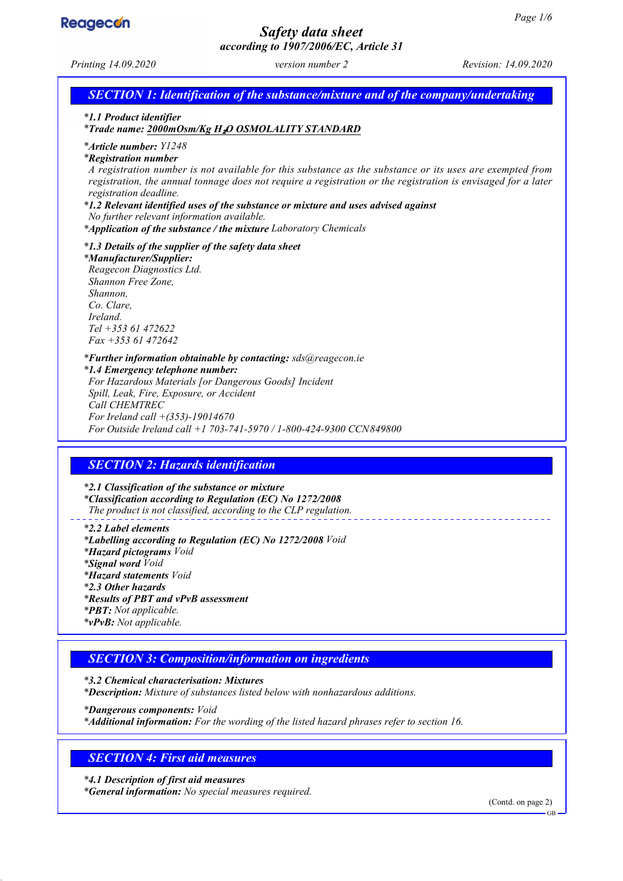

## *Safety data sheet according to 1907/2006/EC, Article 31*

| Printing 14.09.2020                                                                                                                                                                                                                        | $\mu$ . $\mu$ , $\mu$ , $\mu$ , $\mu$ , $\mu$ , $\mu$ , $\mu$ , $\mu$ , $\mu$<br>version number 2                                                                                                                                                                                                                                                                                   | Revision: 14.09.2020 |
|--------------------------------------------------------------------------------------------------------------------------------------------------------------------------------------------------------------------------------------------|-------------------------------------------------------------------------------------------------------------------------------------------------------------------------------------------------------------------------------------------------------------------------------------------------------------------------------------------------------------------------------------|----------------------|
|                                                                                                                                                                                                                                            | <b>SECTION 1: Identification of the substance/mixture and of the company/undertaking</b>                                                                                                                                                                                                                                                                                            |                      |
| *1.1 Product identifier                                                                                                                                                                                                                    | *Trade name: 2000mOsm/Kg H2O OSMOLALITY STANDARD                                                                                                                                                                                                                                                                                                                                    |                      |
| <i>*Article number: Y1248</i><br><i>*Registration number</i><br>registration deadline.<br>No further relevant information available.                                                                                                       | A registration number is not available for this substance as the substance or its uses are exempted from<br>registration, the annual tonnage does not require a registration or the registration is envisaged for a later<br>*1.2 Relevant identified uses of the substance or mixture and uses advised against<br>*Application of the substance / the mixture Laboratory Chemicals |                      |
| *1.3 Details of the supplier of the safety data sheet<br>*Manufacturer/Supplier:<br>Reagecon Diagnostics Ltd.<br>Shannon Free Zone,<br>Shannon,<br>Co. Clare,<br>Ireland.<br>$Tel + 35361472622$<br>$Fax + 35361472642$                    |                                                                                                                                                                                                                                                                                                                                                                                     |                      |
| *1.4 Emergency telephone number:<br>Spill, Leak, Fire, Exposure, or Accident<br>Call CHEMTREC<br>For Ireland call $+(353)$ -19014670                                                                                                       | *Further information obtainable by contacting: sds@reagecon.ie<br>For Hazardous Materials [or Dangerous Goods] Incident<br>For Outside Ireland call +1 703-741-5970 / 1-800-424-9300 CCN849800                                                                                                                                                                                      |                      |
| <b>SECTION 2: Hazards identification</b>                                                                                                                                                                                                   |                                                                                                                                                                                                                                                                                                                                                                                     |                      |
| *2.1 Classification of the substance or mixture                                                                                                                                                                                            | <i>*Classification according to Regulation (EC) No 1272/2008</i><br>The product is not classified, according to the CLP regulation.                                                                                                                                                                                                                                                 |                      |
| *2.2 Label elements<br><i>*Hazard pictograms Void</i><br><i>*Signal word Void</i><br><i>*Hazard statements Void</i><br>*2.3 Other hazards<br>*Results of PBT and vPvB assessment<br>*PBT: Not applicable.<br><i>*vPvB: Not applicable.</i> | *Labelling according to Regulation (EC) No 1272/2008 Void                                                                                                                                                                                                                                                                                                                           |                      |

## *SECTION 3: Composition/information on ingredients*

*\* 3.2 Chemical characterisation: Mixtures \* Description: Mixture of substances listed below with nonhazardous additions. \* Dangerous components: Void*

*\* Additional information: For the wording of the listed hazard phrases refer to section 16.*

# *SECTION 4: First aid measures*

*\* 4.1 Description of first aid measures \* General information: No special measures required.*

(Contd. on page 2)

GB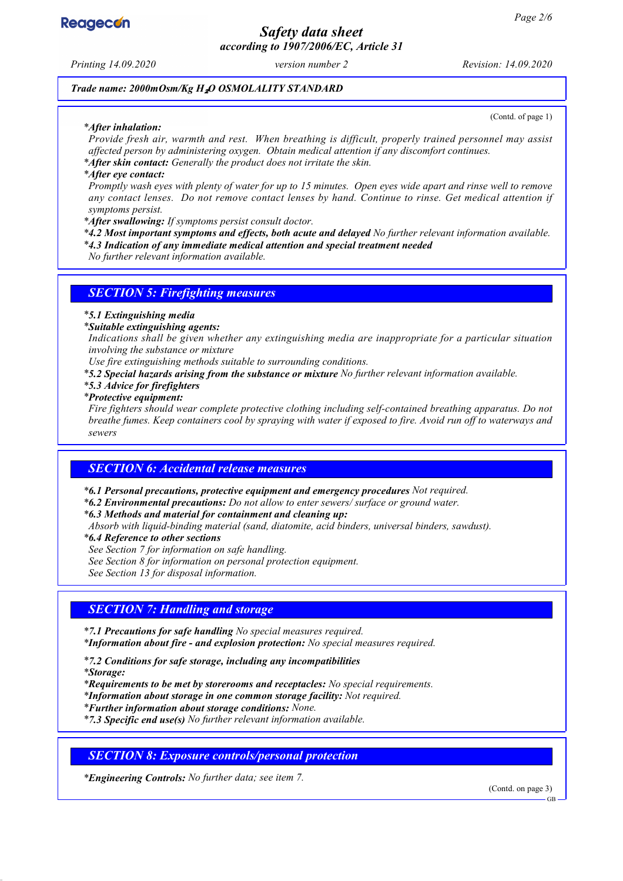

*Safety data sheet according to 1907/2006/EC, Article 31*

*Printing 14.09.2020 version number 2 Revision: 14.09.2020*

*Trade name: 2000mOsm/Kg H*₂*O OSMOLALITY STANDARD*

#### *\* After inhalation:*

(Contd. of page 1)

*Provide fresh air, warmth and rest. When breathing is difficult, properly trained personnel may assist affected person by administering oxygen. Obtain medical attention if any discomfort continues.*

*\* After skin contact: Generally the product does not irritate the skin.*

*\* After eye contact:*

*Promptly wash eyes with plenty of water for up to 15 minutes. Open eyes wide apart and rinse well to remove any contact lenses. Do not remove contact lenses by hand. Continue to rinse. Get medical attention if symptoms persist.*

*\* After swallowing: If symptoms persist consult doctor.*

*\* 4.2 Most important symptoms and effects, both acute and delayed No further relevant information available.*

*\* 4.3 Indication of any immediate medical attention and special treatment needed*

*No further relevant information available.*

### *SECTION 5: Firefighting measures*

*\* 5.1 Extinguishing media*

*\* Suitable extinguishing agents:*

*Indications shall be given whether any extinguishing media are inappropriate for a particular situation involving the substance or mixture*

*Use fire extinguishing methods suitable to surrounding conditions.*

*\* 5.2 Special hazards arising from the substance or mixture No further relevant information available.*

*\* 5.3 Advice for firefighters*

*\* Protective equipment:*

*Fire fighters should wear complete protective clothing including self-contained breathing apparatus. Do not breathe fumes. Keep containers cool by spraying with water if exposed to fire. Avoid run off to waterways and sewers*

### *SECTION 6: Accidental release measures*

*\* 6.1 Personal precautions, protective equipment and emergency procedures Not required.*

*\* 6.2 Environmental precautions: Do not allow to enter sewers/ surface or ground water.*

*\* 6.3 Methods and material for containment and cleaning up:*

*Absorb with liquid-binding material (sand, diatomite, acid binders, universal binders, sawdust).*

*\* 6.4 Reference to other sections*

*See Section 7 for information on safe handling.*

*See Section 8 for information on personal protection equipment.*

*See Section 13 for disposal information.*

### *SECTION 7: Handling and storage*

*\* 7.1 Precautions for safe handling No special measures required.*

*\* Information about fire - and explosion protection: No special measures required.*

*\* 7.2 Conditions for safe storage, including any incompatibilities*

*\* Storage:*

*\* Requirements to be met by storerooms and receptacles: No special requirements.*

*\* Information about storage in one common storage facility: Not required.*

*\* Further information about storage conditions: None.*

*\* 7.3 Specific end use(s) No further relevant information available.*

*SECTION 8: Exposure controls/personal protection*

*\* Engineering Controls: No further data; see item 7.*

(Contd. on page 3)

GB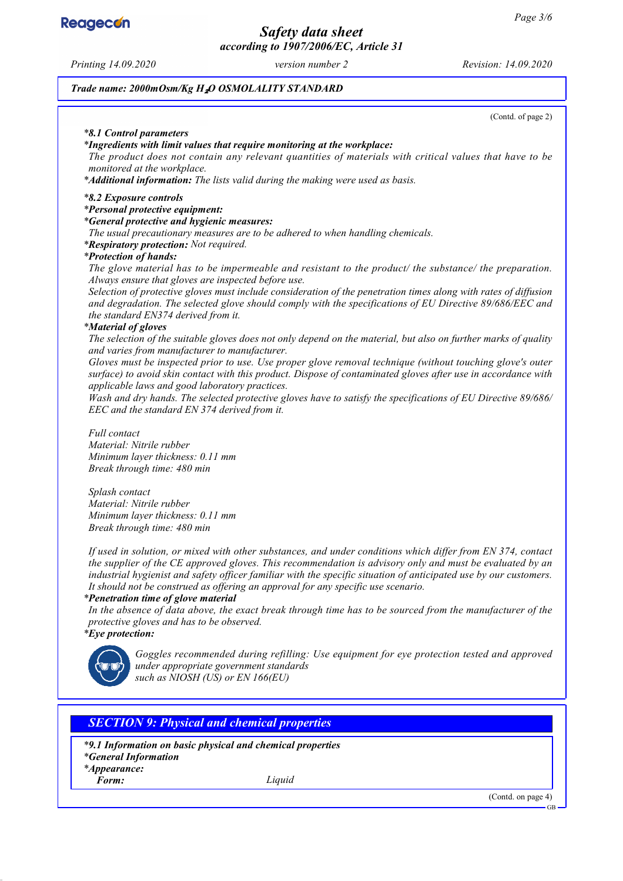**Reagecon** 

*Safety data sheet according to 1907/2006/EC, Article 31*

*Printing 14.09.2020 version number 2 Revision: 14.09.2020*

*Trade name: 2000mOsm/Kg H*₂*O OSMOLALITY STANDARD*

(Contd. of page 2)

#### *\* 8.1 Control parameters*

#### *\* Ingredients with limit values that require monitoring at the workplace:*

*The product does not contain any relevant quantities of materials with critical values that have to be monitored at the workplace.*

*\* Additional information: The lists valid during the making were used as basis.*

#### *\* 8.2 Exposure controls*

#### *\* Personal protective equipment:*

*\* General protective and hygienic measures:*

*The usual precautionary measures are to be adhered to when handling chemicals.*

*\* Respiratory protection: Not required.*

### *\* Protection of hands:*

*The glove material has to be impermeable and resistant to the product/ the substance/ the preparation. Always ensure that gloves are inspected before use.*

*Selection of protective gloves must include consideration of the penetration times along with rates of diffusion and degradation. The selected glove should comply with the specifications of EU Directive 89/686/EEC and the standard EN374 derived from it.*

#### *\* Material of gloves*

*The selection of the suitable gloves does not only depend on the material, but also on further marks of quality and varies from manufacturer to manufacturer.*

*Gloves must be inspected prior to use. Use proper glove removal technique (without touching glove's outer surface) to avoid skin contact with this product. Dispose of contaminated gloves after use in accordance with applicable laws and good laboratory practices.*

*Wash and dry hands. The selected protective gloves have to satisfy the specifications of EU Directive 89/686/ EEC and the standard EN 374 derived from it.*

*Full contact Material: Nitrile rubber Minimum layer thickness: 0.11 mm Break through time: 480 min*

*Splash contact Material: Nitrile rubber Minimum layer thickness: 0.11 mm Break through time: 480 min*

*If used in solution, or mixed with other substances, and under conditions which differ from EN 374, contact the supplier of the CE approved gloves. This recommendation is advisory only and must be evaluated by an industrial hygienist and safety officer familiar with the specific situation of anticipated use by our customers. It should not be construed as offering an approval for any specific use scenario.*

#### *\* Penetration time of glove material*

*In the absence of data above, the exact break through time has to be sourced from the manufacturer of the protective gloves and has to be observed.*

*\* Eye protection:*



*Goggles recommended during refilling: Use equipment for eye protection tested and approved under appropriate government standards such as NIOSH (US) or EN 166(EU)*

### *SECTION 9: Physical and chemical properties*

*\* 9.1 Information on basic physical and chemical properties*

*\* General Information*

*\* Appearance:*

*Form: Liquid*

(Contd. on page 4)

GB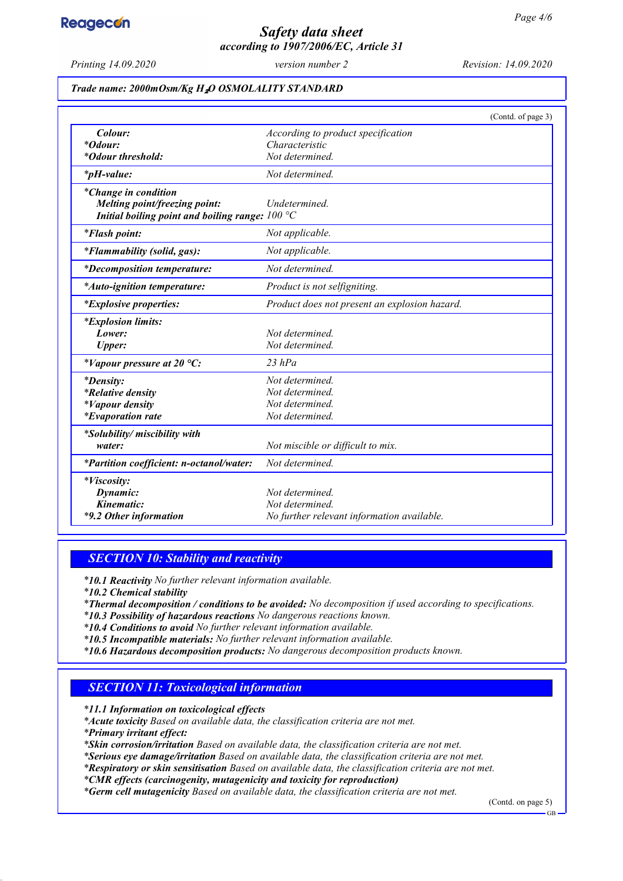

# *Safety data sheet according to 1907/2006/EC, Article 31*

*Printing 14.09.2020 version number 2 Revision: 14.09.2020*

### *Trade name: 2000mOsm/Kg H*₂*O OSMOLALITY STANDARD*

|                                                   | (Contd. of page 3)                            |
|---------------------------------------------------|-----------------------------------------------|
| Colour:                                           | According to product specification            |
| <i>*Odour:</i>                                    | Characteristic                                |
| *Odour threshold:                                 | Not determined.                               |
| $*_{p}H$ -value:                                  | Not determined.                               |
| <i>*Change in condition</i>                       |                                               |
| Melting point/freezing point:                     | Undetermined.                                 |
| Initial boiling point and boiling range: $100 °C$ |                                               |
| <i>*Flash point:</i>                              | Not applicable.                               |
| *Flammability (solid, gas):                       | Not applicable.                               |
| <i>*Decomposition temperature:</i>                | Not determined.                               |
| <i>*Auto-ignition temperature:</i>                | Product is not selfigniting.                  |
| <i>*Explosive properties:</i>                     | Product does not present an explosion hazard. |
| <i>*Explosion limits:</i>                         |                                               |
| Lower:                                            | Not determined.                               |
| <b>Upper:</b>                                     | Not determined.                               |
| *Vapour pressure at 20 $^{\circ}C$ :              | 23 hPa                                        |
| <i>*Density:</i>                                  | Not determined.                               |
| <i>*Relative density</i>                          | Not determined.                               |
| <i>*Vapour density</i>                            | Not determined.                               |
| <i>*Evaporation rate</i>                          | Not determined.                               |
| *Solubility/ miscibility with                     |                                               |
| water:                                            | Not miscible or difficult to mix.             |
| *Partition coefficient: n-octanol/water:          | Not determined.                               |
| *Viscosity:                                       |                                               |
| Dynamic:                                          | Not determined.                               |
| Kinematic:                                        | Not determined.                               |
| *9.2 Other information                            | No further relevant information available.    |

### *SECTION 10: Stability and reactivity*

*\* 10.1 Reactivity No further relevant information available.*

*\* 10.2 Chemical stability*

*\* Thermal decomposition / conditions to be avoided: No decomposition if used according to specifications.*

- *\* 10.3 Possibility of hazardous reactions No dangerous reactions known.*
- *\* 10.4 Conditions to avoid No further relevant information available.*
- *\* 10.5 Incompatible materials: No further relevant information available.*
- *\* 10.6 Hazardous decomposition products: No dangerous decomposition products known.*

### *SECTION 11: Toxicological information*

*\* 11.1 Information on toxicological effects*

*\* Acute toxicity Based on available data, the classification criteria are not met.*

*\* Primary irritant effect:*

*\* Skin corrosion/irritation Based on available data, the classification criteria are not met.*

*\* Serious eye damage/irritation Based on available data, the classification criteria are not met.*

*\* Respiratory or skin sensitisation Based on available data, the classification criteria are not met.*

*\* CMR effects (carcinogenity, mutagenicity and toxicity for reproduction)*

*\* Germ cell mutagenicity Based on available data, the classification criteria are not met.*

(Contd. on page 5)

GB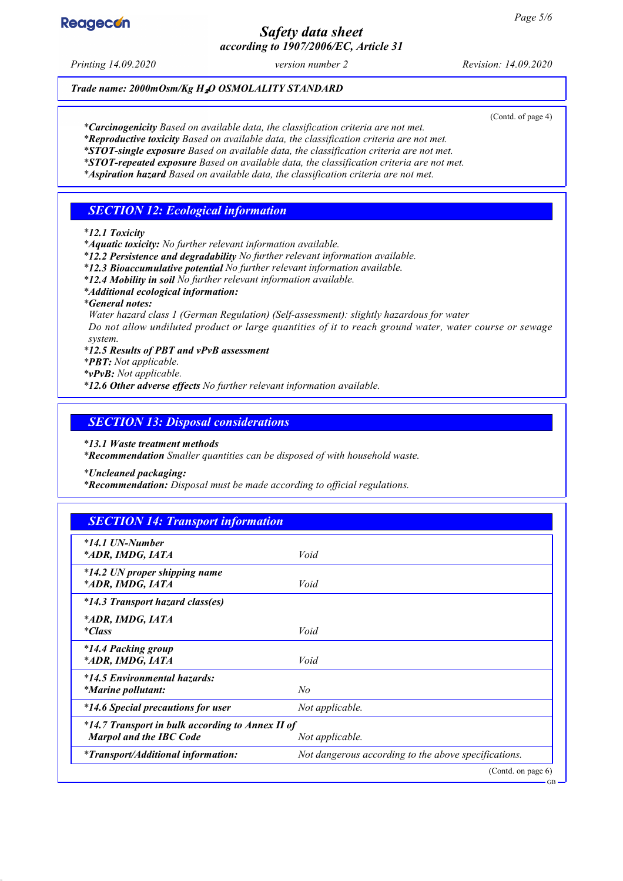# **Reagecon**

## *Safety data sheet according to 1907/2006/EC, Article 31*

*Printing 14.09.2020 version number 2 Revision: 14.09.2020*

### *Trade name: 2000mOsm/Kg H*₂*O OSMOLALITY STANDARD*

(Contd. of page 4)

*\* Carcinogenicity Based on available data, the classification criteria are not met.*

*\* Reproductive toxicity Based on available data, the classification criteria are not met.*

*\* STOT-single exposure Based on available data, the classification criteria are not met.*

*\* STOT-repeated exposure Based on available data, the classification criteria are not met. \* Aspiration hazard Based on available data, the classification criteria are not met.*

### *SECTION 12: Ecological information*

*\* 12.1 Toxicity*

*\* Aquatic toxicity: No further relevant information available.*

*\* 12.2 Persistence and degradability No further relevant information available.*

*\* 12.3 Bioaccumulative potential No further relevant information available.*

*\* 12.4 Mobility in soil No further relevant information available.*

*\* Additional ecological information:*

*\* General notes:*

*Water hazard class 1 (German Regulation) (Self-assessment): slightly hazardous for water Do not allow undiluted product or large quantities of it to reach ground water, water course or sewage system.*

*\* 12.5 Results of PBT and vPvB assessment*

*\* PBT: Not applicable.*

*\* vPvB: Not applicable.*

*\* 12.6 Other adverse effects No further relevant information available.*

### *SECTION 13: Disposal considerations*

*\* 13.1 Waste treatment methods*

*\* Recommendation Smaller quantities can be disposed of with household waste.*

*\* Uncleaned packaging:*

*\* Recommendation: Disposal must be made according to official regulations.*

| <b>SECTION 14: Transport information</b>                                           |                                                      |
|------------------------------------------------------------------------------------|------------------------------------------------------|
| $*14.1$ UN-Number<br>*ADR, IMDG, IATA                                              | Void                                                 |
| *14.2 UN proper shipping name<br>*ADR, IMDG, IATA                                  | Void                                                 |
| *14.3 Transport hazard class(es)                                                   |                                                      |
| *ADR, IMDG, IATA<br><i>*Class</i>                                                  | Void                                                 |
| <i>*14.4 Packing group</i><br>*ADR, IMDG, IATA                                     | Void                                                 |
| *14.5 Environmental hazards:<br><i>*Marine pollutant:</i>                          | No                                                   |
| *14.6 Special precautions for user                                                 | Not applicable.                                      |
| *14.7 Transport in bulk according to Annex II of<br><b>Marpol and the IBC Code</b> | Not applicable.                                      |
| <i>*Transport/Additional information:</i>                                          | Not dangerous according to the above specifications. |
|                                                                                    | (Contd. on page 6)                                   |